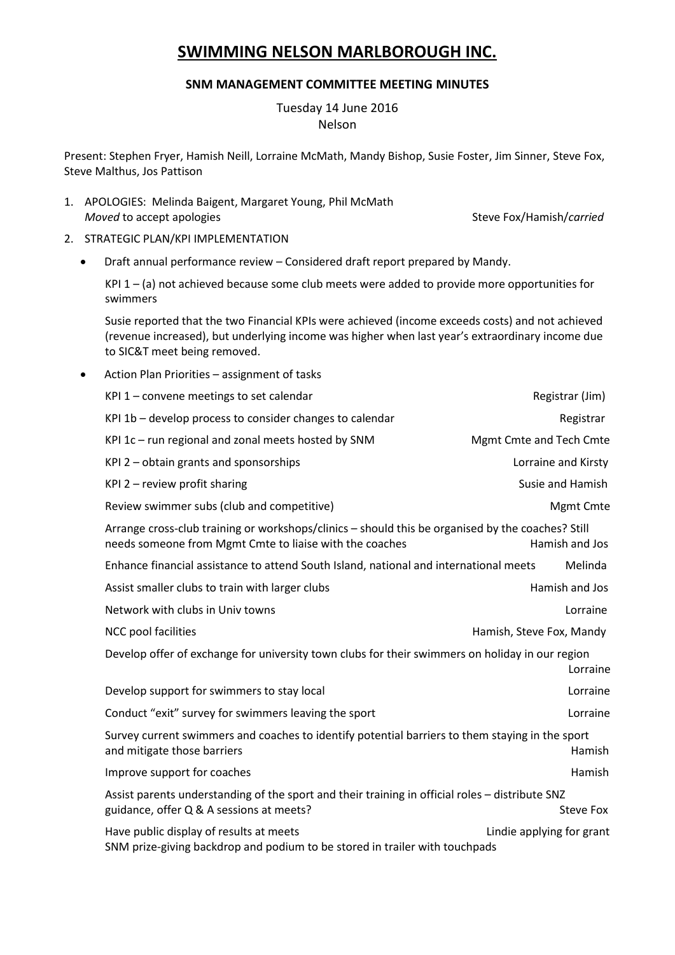## **SWIMMING NELSON MARLBOROUGH INC.**

## **SNM MANAGEMENT COMMITTEE MEETING MINUTES**

## Tuesday 14 June 2016 Nelson

Present: Stephen Fryer, Hamish Neill, Lorraine McMath, Mandy Bishop, Susie Foster, Jim Sinner, Steve Fox, Steve Malthus, Jos Pattison

- 1. APOLOGIES: Melinda Baigent, Margaret Young, Phil McMath *Moved* to accept apologies **Steve Fox/Hamish/***carried* Steve Fox/Hamish/*carried*
- 2. STRATEGIC PLAN/KPI IMPLEMENTATION
	- Draft annual performance review Considered draft report prepared by Mandy.

KPI  $1 - (a)$  not achieved because some club meets were added to provide more opportunities for swimmers

Susie reported that the two Financial KPIs were achieved (income exceeds costs) and not achieved (revenue increased), but underlying income was higher when last year's extraordinary income due to SIC&T meet being removed.

Action Plan Priorities – assignment of tasks

| KPI $1$ – convene meetings to set calendar                                                                                                                                     | Registrar (Jim)                |
|--------------------------------------------------------------------------------------------------------------------------------------------------------------------------------|--------------------------------|
| KPI 1b - develop process to consider changes to calendar                                                                                                                       | Registrar                      |
| KPI 1c - run regional and zonal meets hosted by SNM                                                                                                                            | <b>Mgmt Cmte and Tech Cmte</b> |
| KPI 2 - obtain grants and sponsorships                                                                                                                                         | Lorraine and Kirsty            |
| KPI $2$ – review profit sharing                                                                                                                                                | Susie and Hamish               |
| Review swimmer subs (club and competitive)                                                                                                                                     | Mgmt Cmte                      |
| Arrange cross-club training or workshops/clinics - should this be organised by the coaches? Still<br>needs someone from Mgmt Cmte to liaise with the coaches<br>Hamish and Jos |                                |
| Enhance financial assistance to attend South Island, national and international meets                                                                                          | Melinda                        |
| Assist smaller clubs to train with larger clubs                                                                                                                                | Hamish and Jos                 |
| Network with clubs in Univ towns                                                                                                                                               | Lorraine                       |
| NCC pool facilities                                                                                                                                                            | Hamish, Steve Fox, Mandy       |
| Develop offer of exchange for university town clubs for their swimmers on holiday in our region<br>Lorraine                                                                    |                                |
| Develop support for swimmers to stay local                                                                                                                                     | Lorraine                       |
| Conduct "exit" survey for swimmers leaving the sport                                                                                                                           | Lorraine                       |
| Survey current swimmers and coaches to identify potential barriers to them staying in the sport<br>and mitigate those barriers<br>Hamish                                       |                                |
| Improve support for coaches                                                                                                                                                    | Hamish                         |
| Assist parents understanding of the sport and their training in official roles - distribute SNZ<br>guidance, offer Q & A sessions at meets?                                    | Steve Fox                      |
| Have public display of results at meets<br>SNM prize-giving backdrop and podium to be stored in trailer with touchpads                                                         | Lindie applying for grant      |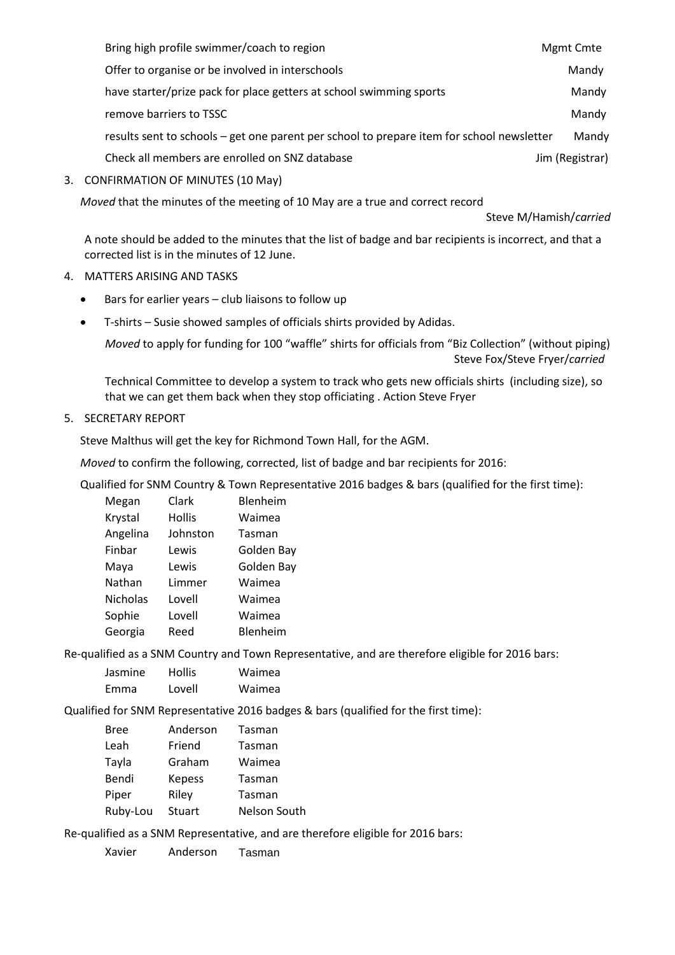| Bring high profile swimmer/coach to region                                                | Mgmt Cmte       |
|-------------------------------------------------------------------------------------------|-----------------|
| Offer to organise or be involved in interschools                                          | Mandy           |
| have starter/prize pack for place getters at school swimming sports                       | Mandy           |
| remove barriers to TSSC                                                                   | Mandy           |
| results sent to schools – get one parent per school to prepare item for school newsletter | Mandy           |
| Check all members are enrolled on SNZ database                                            | Jim (Registrar) |

3. CONFIRMATION OF MINUTES (10 May)

*Moved* that the minutes of the meeting of 10 May are a true and correct record

Steve M/Hamish/*carried*

A note should be added to the minutes that the list of badge and bar recipients is incorrect, and that a corrected list is in the minutes of 12 June.

- 4. MATTERS ARISING AND TASKS
	- Bars for earlier years club liaisons to follow up
	- T-shirts Susie showed samples of officials shirts provided by Adidas.

*Moved* to apply for funding for 100 "waffle" shirts for officials from "Biz Collection" (without piping) Steve Fox/Steve Fryer/*carried*

Technical Committee to develop a system to track who gets new officials shirts (including size), so that we can get them back when they stop officiating . Action Steve Fryer

5. SECRETARY REPORT

Steve Malthus will get the key for Richmond Town Hall, for the AGM.

*Moved* to confirm the following, corrected, list of badge and bar recipients for 2016:

Qualified for SNM Country & Town Representative 2016 badges & bars (qualified for the first time):

| Megan           | Clark         | Blenheim   |
|-----------------|---------------|------------|
| Krystal         | <b>Hollis</b> | Waimea     |
| Angelina        | Johnston      | Tasman     |
| Finbar          | Lewis         | Golden Bay |
| Maya            | Lewis         | Golden Bay |
| Nathan          | Limmer        | Waimea     |
| <b>Nicholas</b> | Lovell        | Waimea     |
| Sophie          | Lovell        | Waimea     |
| Georgia         | Reed          | Blenheim   |
|                 |               |            |

Re-qualified as a SNM Country and Town Representative, and are therefore eligible for 2016 bars:

| Jasmine | <b>Hollis</b> | Waimea |
|---------|---------------|--------|
| Emma    | Lovell        | Waimea |

Qualified for SNM Representative 2016 badges & bars (qualified for the first time):

| <b>Bree</b> | Anderson      | Tasman       |
|-------------|---------------|--------------|
| Leah        | Friend        | Tasman       |
| Tayla       | Graham        | Waimea       |
| Bendi       | <b>Kepess</b> | Tasman       |
| Piper       | Riley         | Tasman       |
| Ruby-Lou    | <b>Stuart</b> | Nelson South |

Re-qualified as a SNM Representative, and are therefore eligible for 2016 bars:

Xavier Anderson Tasman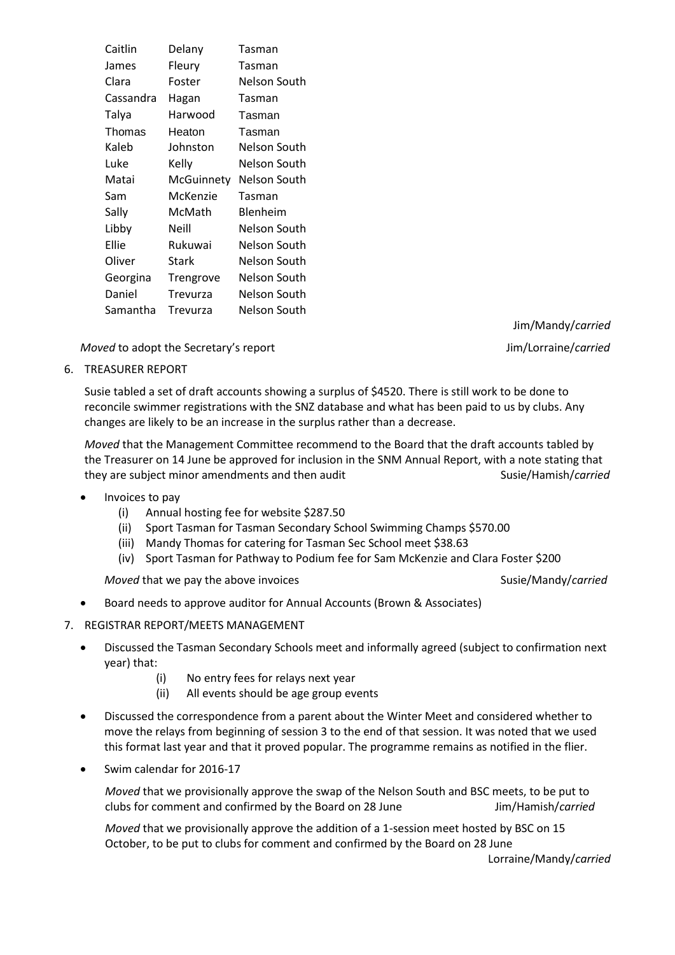| Caitlin   | Delany     | Tasman       |
|-----------|------------|--------------|
| James     | Fleury     | Tasman       |
| Clara     | Foster     | Nelson South |
| Cassandra | Hagan      | Tasman       |
| Talya     | Harwood    | Tasman       |
| Thomas    | Heaton     | Tasman       |
| Kaleb     | Johnston   | Nelson South |
| Luke      | Kelly      | Nelson South |
| Matai     | McGuinnety | Nelson South |
| Sam       | McKenzie   | Tasman       |
| Sally     | McMath     | Blenheim     |
| Libby     | Neill      | Nelson South |
| Ellie     | Rukuwai    | Nelson South |
| Oliver    | Stark      | Nelson South |
| Georgina  | Trengrove  | Nelson South |
| Daniel    | Trevurza   | Nelson South |
| Samantha  | Trevurza   | Nelson South |

*Moved* to adopt the Secretary's report **Access 2008 Jim/Lorraine/***carried* 

Jim/Mandy/*carried*

6. TREASURER REPORT

Susie tabled a set of draft accounts showing a surplus of \$4520. There is still work to be done to reconcile swimmer registrations with the SNZ database and what has been paid to us by clubs. Any changes are likely to be an increase in the surplus rather than a decrease.

*Moved* that the Management Committee recommend to the Board that the draft accounts tabled by the Treasurer on 14 June be approved for inclusion in the SNM Annual Report, with a note stating that they are subject minor amendments and then audit **Susian and Susie/Hamish/***carried* 

- Invoices to pay
	- (i) Annual hosting fee for website \$287.50
	- (ii) Sport Tasman for Tasman Secondary School Swimming Champs \$570.00
	- (iii) Mandy Thomas for catering for Tasman Sec School meet \$38.63
	- (iv) Sport Tasman for Pathway to Podium fee for Sam McKenzie and Clara Foster \$200

*Moved* that we pay the above invoices Susie/Mandy/*carried* Susie/Mandy/*carried* 

- Board needs to approve auditor for Annual Accounts (Brown & Associates)
- 7. REGISTRAR REPORT/MEETS MANAGEMENT
	- Discussed the Tasman Secondary Schools meet and informally agreed (subject to confirmation next year) that:
		- (i) No entry fees for relays next year
		- (ii) All events should be age group events
	- Discussed the correspondence from a parent about the Winter Meet and considered whether to move the relays from beginning of session 3 to the end of that session. It was noted that we used this format last year and that it proved popular. The programme remains as notified in the flier.
	- Swim calendar for 2016-17

*Moved* that we provisionally approve the swap of the Nelson South and BSC meets, to be put to clubs for comment and confirmed by the Board on 28 June Jim/Hamish/*carried*

*Moved* that we provisionally approve the addition of a 1-session meet hosted by BSC on 15 October, to be put to clubs for comment and confirmed by the Board on 28 June

Lorraine/Mandy/*carried*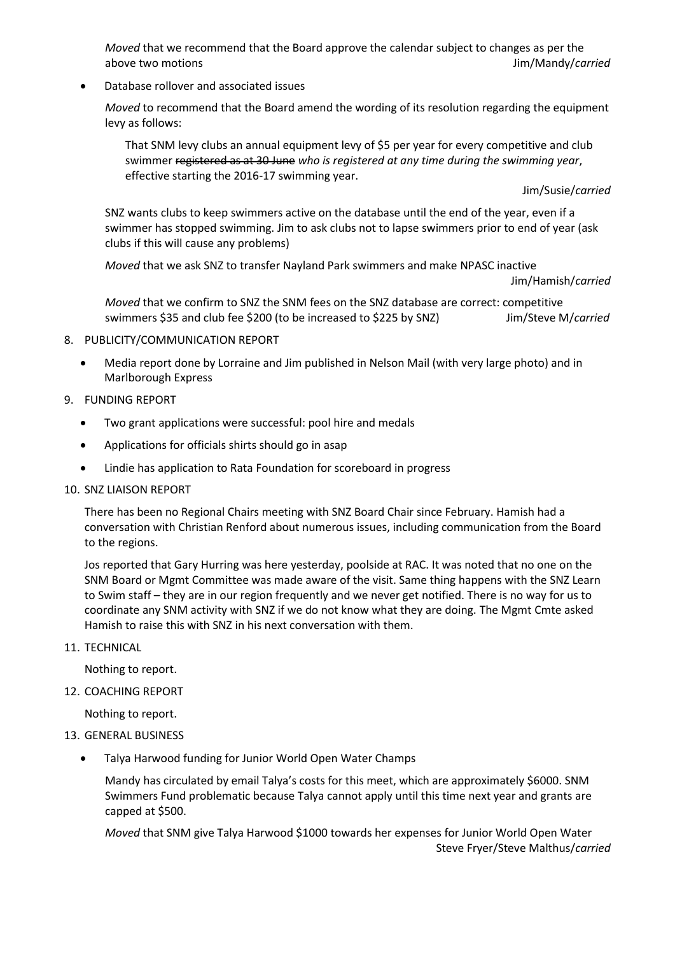*Moved* that we recommend that the Board approve the calendar subject to changes as per the above two motions Jim/Mandy/*carried*

Database rollover and associated issues

*Moved* to recommend that the Board amend the wording of its resolution regarding the equipment levy as follows:

That SNM levy clubs an annual equipment levy of \$5 per year for every competitive and club swimmer registered as at 30 June *who is registered at any time during the swimming year*, effective starting the 2016-17 swimming year.

Jim/Susie/*carried*

SNZ wants clubs to keep swimmers active on the database until the end of the year, even if a swimmer has stopped swimming. Jim to ask clubs not to lapse swimmers prior to end of year (ask clubs if this will cause any problems)

*Moved* that we ask SNZ to transfer Nayland Park swimmers and make NPASC inactive

Jim/Hamish/*carried*

*Moved* that we confirm to SNZ the SNM fees on the SNZ database are correct: competitive swimmers \$35 and club fee \$200 (to be increased to \$225 by SNZ) Jim/Steve M/*carried*

- 8. PUBLICITY/COMMUNICATION REPORT
	- Media report done by Lorraine and Jim published in Nelson Mail (with very large photo) and in Marlborough Express
- 9. FUNDING REPORT
	- Two grant applications were successful: pool hire and medals
	- Applications for officials shirts should go in asap
	- Lindie has application to Rata Foundation for scoreboard in progress
- 10. SNZ LIAISON REPORT

There has been no Regional Chairs meeting with SNZ Board Chair since February. Hamish had a conversation with Christian Renford about numerous issues, including communication from the Board to the regions.

Jos reported that Gary Hurring was here yesterday, poolside at RAC. It was noted that no one on the SNM Board or Mgmt Committee was made aware of the visit. Same thing happens with the SNZ Learn to Swim staff – they are in our region frequently and we never get notified. There is no way for us to coordinate any SNM activity with SNZ if we do not know what they are doing. The Mgmt Cmte asked Hamish to raise this with SNZ in his next conversation with them.

11. TECHNICAL

Nothing to report.

12. COACHING REPORT

Nothing to report.

- 13. GENERAL BUSINESS
	- Talya Harwood funding for Junior World Open Water Champs

Mandy has circulated by email Talya's costs for this meet, which are approximately \$6000. SNM Swimmers Fund problematic because Talya cannot apply until this time next year and grants are capped at \$500.

*Moved* that SNM give Talya Harwood \$1000 towards her expenses for Junior World Open Water Steve Fryer/Steve Malthus/*carried*